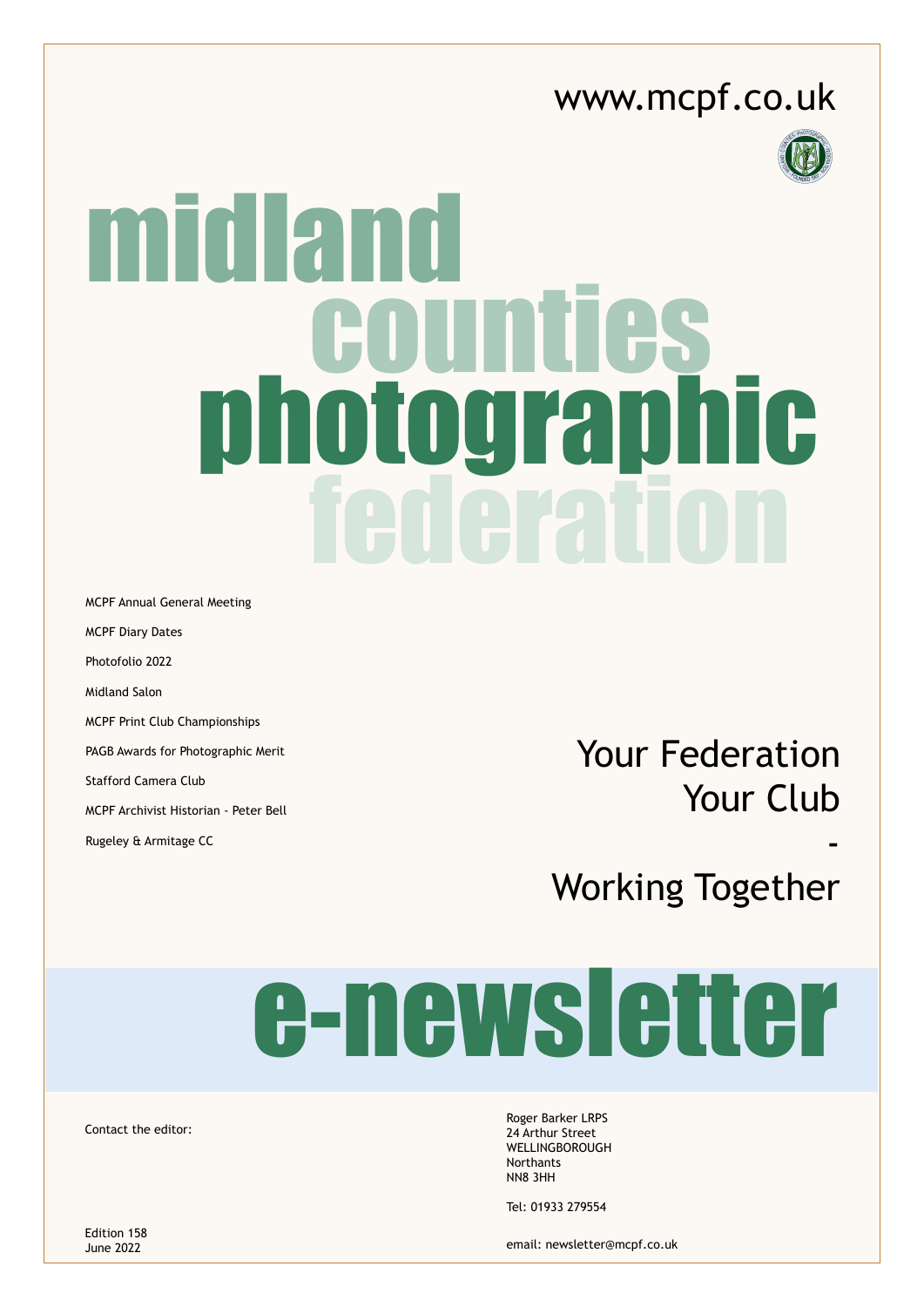#### [www.mcpf.co.uk](http://www.mcpf.co.uk)



# midland notographic<br>Tadaration

MCPF Annual General Meeting MCPF Diary Dates Photofolio 2022 Midland Salon MCPF Print Club Championships PAGB Awards for Photographic Merit Stafford Camera Club MCPF Archivist Historian - Peter Bell

Your Federation Your Club

-

Working Together

# e-newsletter

Contact the editor:

Rugeley & Armitage CC

Roger Barker LRPS 24 Arthur Street **WELLINGBOROUGH** Northants NN8 3HH

Tel: 01933 279554

email: [newsletter@mcpf.co.uk](mailto:newsletter%40mcpf.co.uk?subject=)

Edition 158 June 2022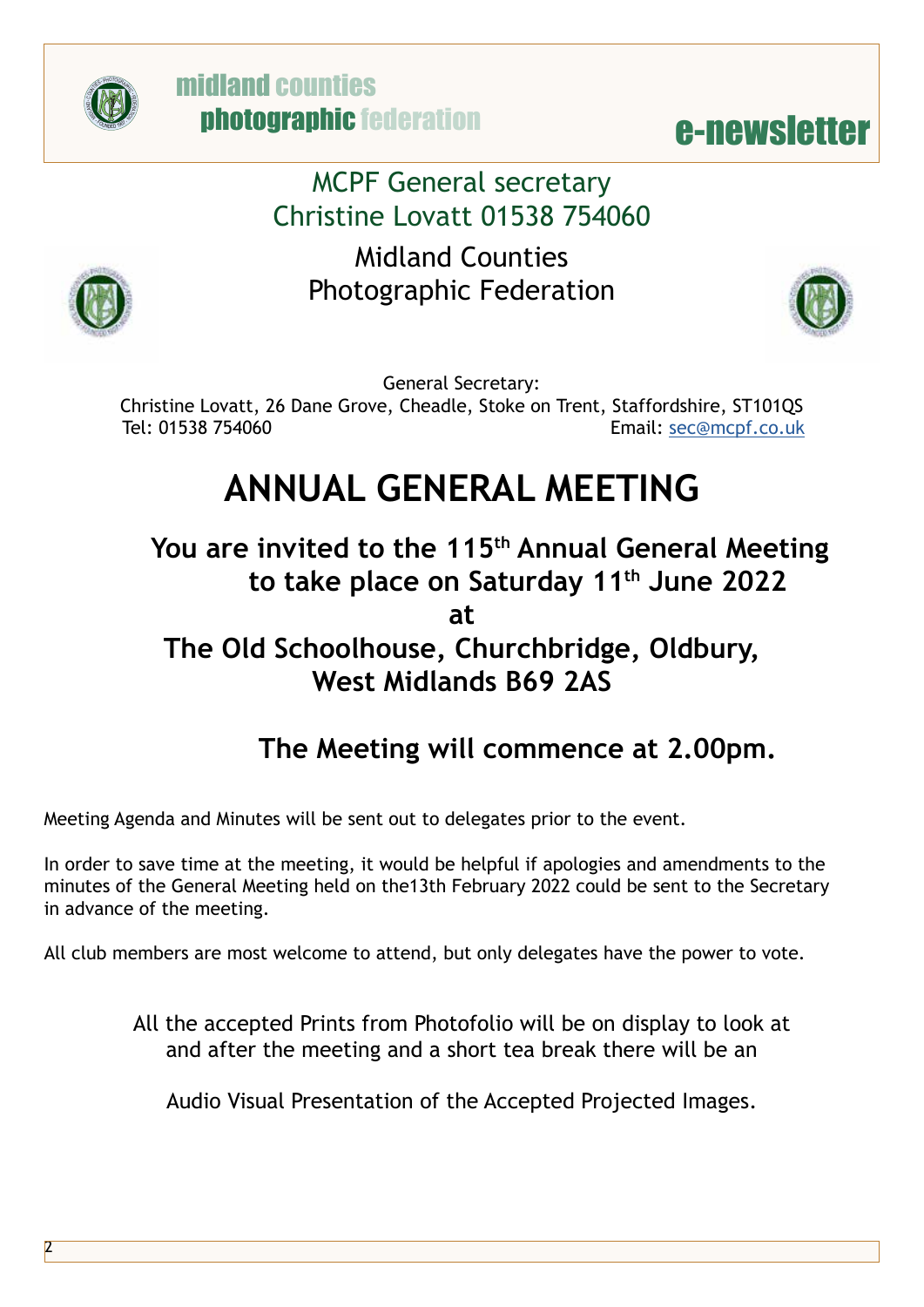



MCPF General secretary Christine Lovatt 01538 754060

Midland Counties Photographic Federation





General Secretary:

Christine Lovatt, 26 Dane Grove, Cheadle, Stoke on Trent, Staffordshire, ST101QS Tel: 01538 754060 Email: [sec@mcpf.co.uk](mailto:sec%40mcpf.co.uk?subject=)

### **ANNUAL GENERAL MEETING**

You are invited to the 115<sup>th</sup> Annual General Meeting **to take place on Saturday 11th June 2022** 

**at**

#### **The Old Schoolhouse, Churchbridge, Oldbury, West Midlands B69 2AS**

#### **The Meeting will commence at 2.00pm.**

Meeting Agenda and Minutes will be sent out to delegates prior to the event.

In order to save time at the meeting, it would be helpful if apologies and amendments to the minutes of the General Meeting held on the13th February 2022 could be sent to the Secretary in advance of the meeting.

All club members are most welcome to attend, but only delegates have the power to vote.

All the accepted Prints from Photofolio will be on display to look at and after the meeting and a short tea break there will be an

Audio Visual Presentation of the Accepted Projected Images.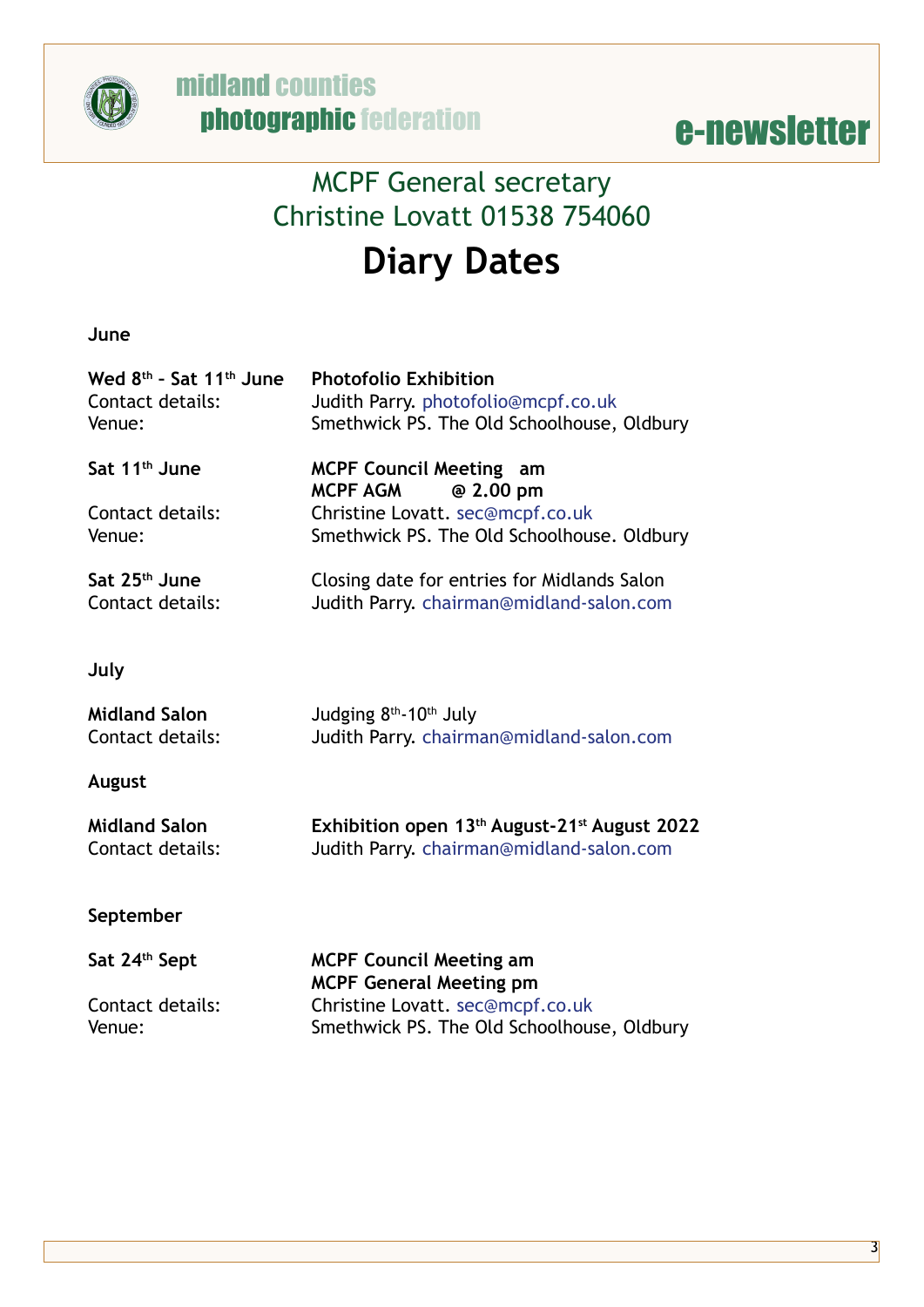



#### MCPF General secretary Christine Lovatt 01538 754060 **Diary Dates**

**June**

| Wed 8 <sup>th</sup> - Sat 11 <sup>th</sup> June<br>Contact details:<br>Venue: | <b>Photofolio Exhibition</b><br>Judith Parry. photofolio@mcpf.co.uk<br>Smethwick PS. The Old Schoolhouse, Oldbury |
|-------------------------------------------------------------------------------|-------------------------------------------------------------------------------------------------------------------|
| Sat 11 <sup>th</sup> June                                                     | <b>MCPF Council Meeting am</b>                                                                                    |
| Contact details:<br>Venue:                                                    | <b>MCPF AGM</b><br>@ 2.00 pm<br>Christine Lovatt. sec@mcpf.co.uk<br>Smethwick PS. The Old Schoolhouse. Oldbury    |
| Sat 25 <sup>th</sup> June<br>Contact details:                                 | Closing date for entries for Midlands Salon<br>Judith Parry. chairman@midland-salon.com                           |
| July                                                                          |                                                                                                                   |
| <b>Midland Salon</b><br>Contact details:                                      | Judging 8 <sup>th</sup> -10 <sup>th</sup> July<br>Judith Parry. chairman@midland-salon.com                        |
| August                                                                        |                                                                                                                   |
| <b>Midland Salon</b><br>Contact details:                                      | Exhibition open 13 <sup>th</sup> August-21 <sup>st</sup> August 2022<br>Judith Parry. chairman@midland-salon.com  |
| September                                                                     |                                                                                                                   |
| Sat 24th Sept                                                                 | <b>MCPF Council Meeting am</b>                                                                                    |
| Contact details:                                                              | <b>MCPF General Meeting pm</b><br>Christine Lovatt. sec@mcpf.co.uk                                                |

Venue: Smethwick PS. The Old Schoolhouse, Oldbury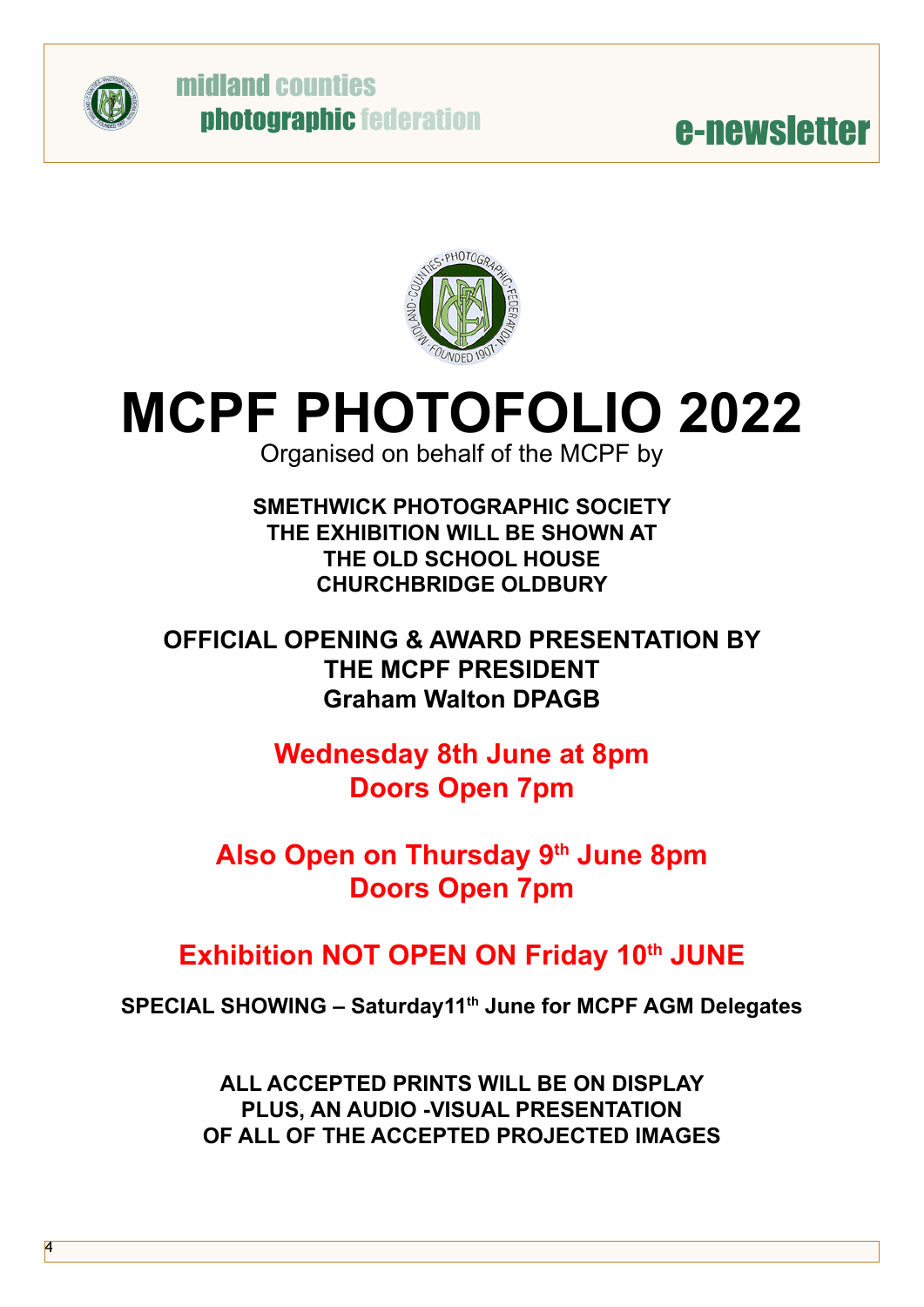

4

#### midland counties photographic federation



### **MCPF PHOTOFOLIO 2022**

Organised on behalf of the MCPF by

**SMETHWICK PHOTOGRAPHIC SOCIETY THE EXHIBITION WILL BE SHOWN AT THE OLD SCHOOL HOUSE CHURCHBRIDGE OLDBURY**

**OFFICIAL OPENING & AWARD PRESENTATION BY THE MCPF PRESIDENT Graham Walton DPAGB**

> **Wednesday 8th June at 8pm Doors Open 7pm**

**Also Open on Thursday 9th June 8pm Doors Open 7pm**

#### **Exhibition NOT OPEN ON Friday 10th JUNE**

**SPECIAL SHOWING – Saturday11th June for MCPF AGM Delegates**

**ALL ACCEPTED PRINTS WILL BE ON DISPLAY PLUS, AN AUDIO -VISUAL PRESENTATION OF ALL OF THE ACCEPTED PROJECTED IMAGES**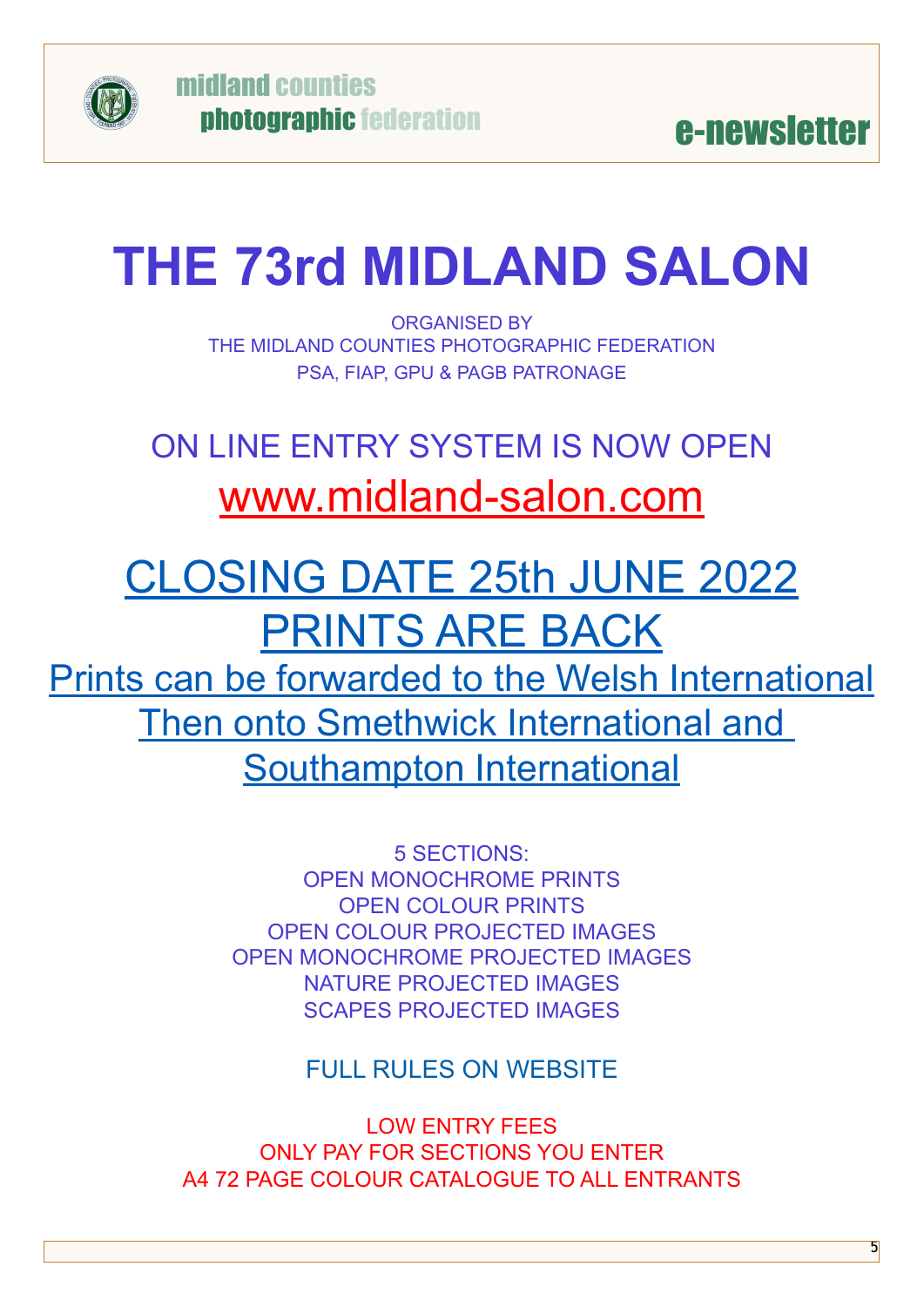

### **THE 73rd MIDLAND SALON**

ORGANISED BY THE MIDLAND COUNTIES PHOTOGRAPHIC FEDERATION PSA, FIAP, GPU & PAGB PATRONAGE

### ON LINE ENTRY SYSTEM IS NOW OPEN [www.midland-salon.com](https://www.midland-salon.com)

### CLOSING DATE 25th JUNE 2022 PRINTS ARE BACK Prints can be forwarded to the Welsh International

Then onto Smethwick International and Southampton International

> 5 SECTIONS: OPEN MONOCHROME PRINTS OPEN COLOUR PRINTS OPEN COLOUR PROJECTED IMAGES OPEN MONOCHROME PROJECTED IMAGES NATURE PROJECTED IMAGES SCAPES PROJECTED IMAGES

> > FULL RULES ON WEBSITE

LOW ENTRY FEES ONLY PAY FOR SECTIONS YOU ENTER A4 72 PAGE COLOUR CATALOGUE TO ALL ENTRANTS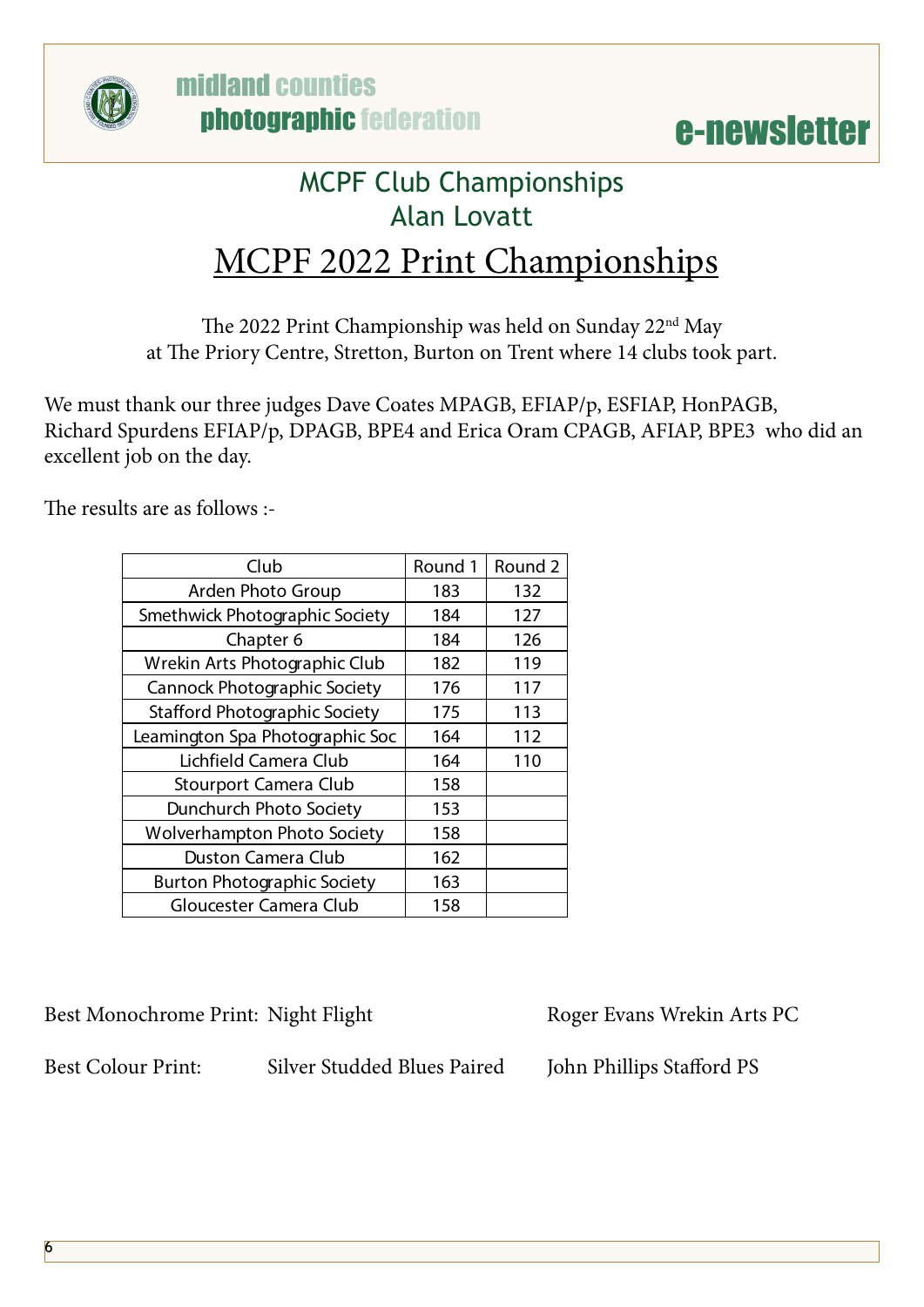



#### MCPF Club Championships Alan Lovatt

#### MCPF 2022 Print Championships

The 2022 Print Championship was held on Sunday 22nd May at The Priory Centre, Stretton, Burton on Trent where 14 clubs took part.

We must thank our three judges Dave Coates MPAGB, EFIAP/p, ESFIAP, HonPAGB, Richard Spurdens EFIAP/p, DPAGB, BPE4 and Erica Oram CPAGB, AFIAP, BPE3 who did an excellent job on the day.

The results are as follows :-

| Club                                 | Round 1 | Round <sub>2</sub> |
|--------------------------------------|---------|--------------------|
| Arden Photo Group                    | 183     | 132                |
| Smethwick Photographic Society       | 184     | 127                |
| Chapter 6                            | 184     | 126                |
| Wrekin Arts Photographic Club        | 182     | 119                |
| <b>Cannock Photographic Society</b>  | 176     | 117                |
| <b>Stafford Photographic Society</b> | 175     | 113                |
| Leamington Spa Photographic Soc      | 164     | 112                |
| Lichfield Camera Club                | 164     | 110                |
| Stourport Camera Club                | 158     |                    |
| Dunchurch Photo Society              | 153     |                    |
| <b>Wolverhampton Photo Society</b>   | 158     |                    |
| <b>Duston Camera Club</b>            | 162     |                    |
| <b>Burton Photographic Society</b>   | 163     |                    |
| Gloucester Camera Club               | 158     |                    |

Best Monochrome Print: Night Flight Roger Evans Wrekin Arts PC

Best Colour Print: Silver Studded Blues Paired John Phillips Stafford PS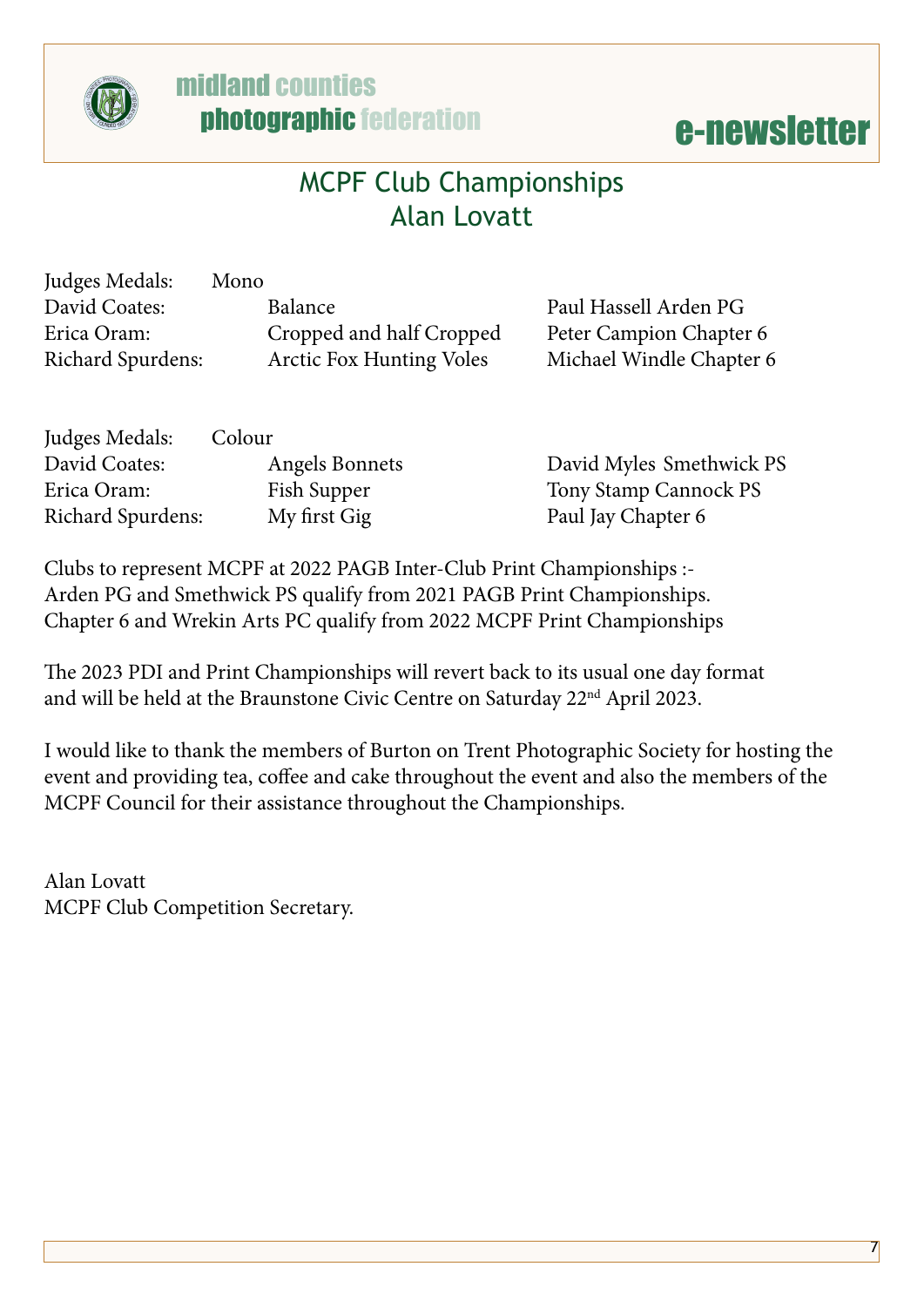

# **@** midland counties<br>
photographic federation<br> **e-newsletter**

#### MCPF Club Championships Alan Lovatt

| Judges Medals:           | Mono                            |                          |
|--------------------------|---------------------------------|--------------------------|
| David Coates:            | Balance                         | Paul Hassell Arden PG    |
| Erica Oram:              | Cropped and half Cropped        | Peter Campion Chapter 6  |
| <b>Richard Spurdens:</b> | <b>Arctic Fox Hunting Voles</b> | Michael Windle Chapter 6 |
|                          |                                 |                          |

| Judges Medals:           | Colour         |                          |
|--------------------------|----------------|--------------------------|
| David Coates:            | Angels Bonnets | David Myles Smethwick PS |
| Erica Oram:              | Fish Supper    | Tony Stamp Cannock PS    |
| <b>Richard Spurdens:</b> | My first Gig   | Paul Jay Chapter 6       |

Clubs to represent MCPF at 2022 PAGB Inter-Club Print Championships :- Arden PG and Smethwick PS qualify from 2021 PAGB Print Championships. Chapter 6 and Wrekin Arts PC qualify from 2022 MCPF Print Championships

The 2023 PDI and Print Championships will revert back to its usual one day format and will be held at the Braunstone Civic Centre on Saturday 22nd April 2023.

I would like to thank the members of Burton on Trent Photographic Society for hosting the event and providing tea, coffee and cake throughout the event and also the members of the MCPF Council for their assistance throughout the Championships.

Alan Lovatt MCPF Club Competition Secretary.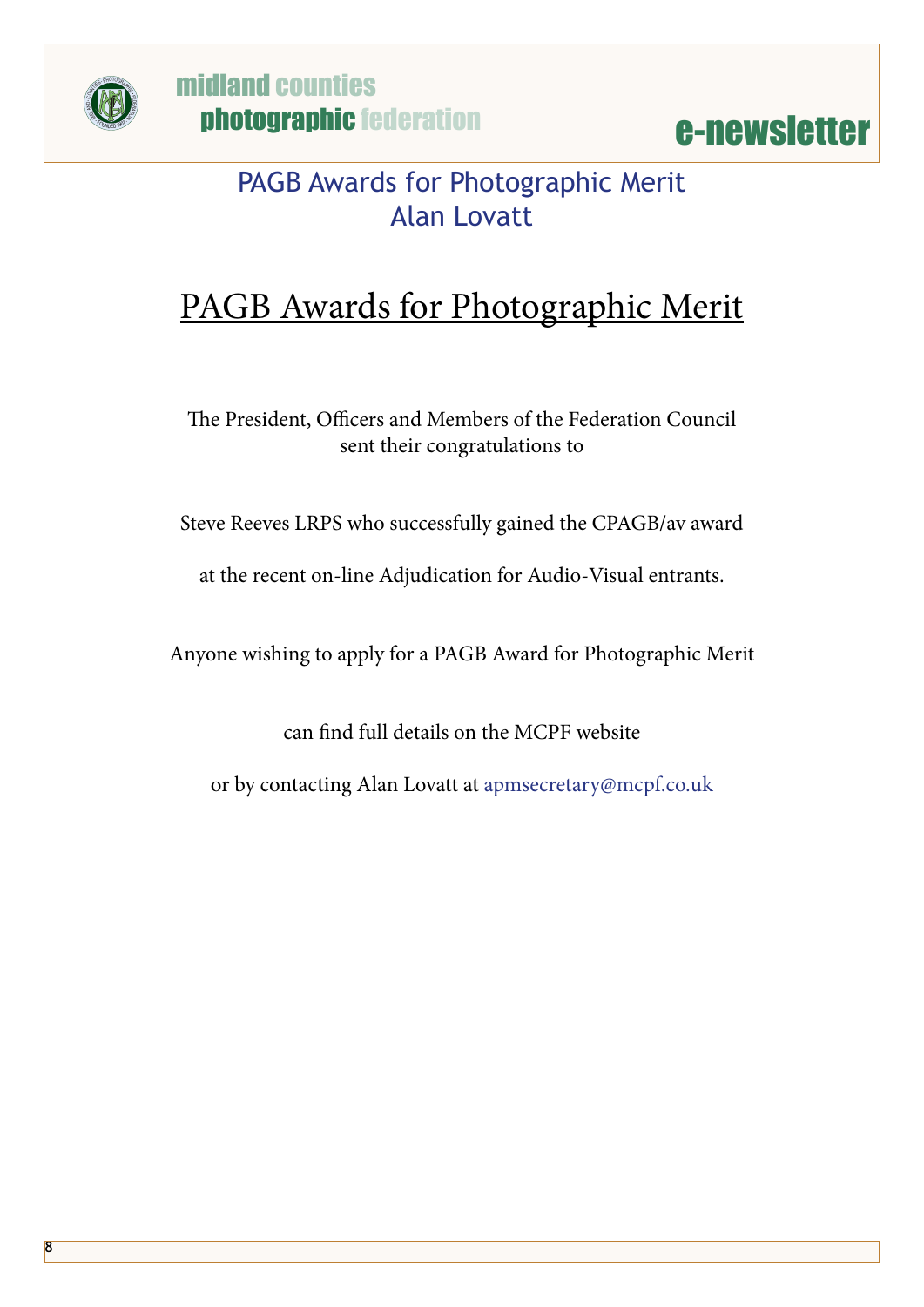

midland counties photographic federation

e-newsletter

#### PAGB Awards for Photographic Merit Alan Lovatt

#### PAGB Awards for Photographic Merit

The President, Officers and Members of the Federation Council sent their congratulations to

Steve Reeves LRPS who successfully gained the CPAGB/av award

at the recent on-line Adjudication for Audio-Visual entrants.

Anyone wishing to apply for a PAGB Award for Photographic Merit

can find full details on the MCPF website

or by contacting Alan Lovatt at [apmsecretary@mcpf.co.uk](mailto:apmsecretary@mcpf.co.uk)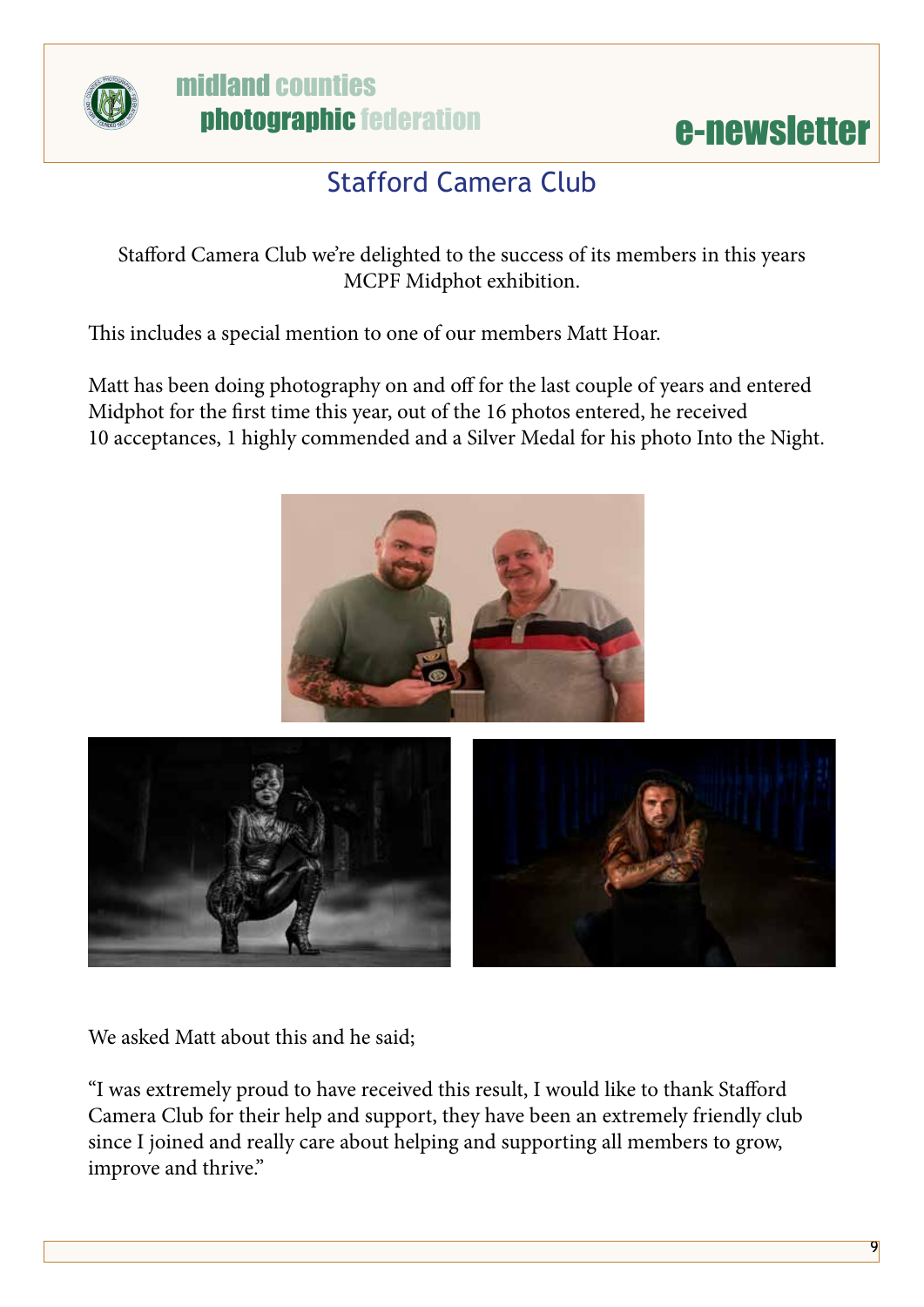

# **@** midland counties<br>
photographic federation<br> **e-newsletter**



#### Stafford Camera Club

Stafford Camera Club we're delighted to the success of its members in this years MCPF Midphot exhibition.

This includes a special mention to one of our members Matt Hoar.

Matt has been doing photography on and off for the last couple of years and entered Midphot for the first time this year, out of the 16 photos entered, he received 10 acceptances, 1 highly commended and a Silver Medal for his photo Into the Night.





We asked Matt about this and he said;

"I was extremely proud to have received this result, I would like to thank Stafford Camera Club for their help and support, they have been an extremely friendly club since I joined and really care about helping and supporting all members to grow, improve and thrive."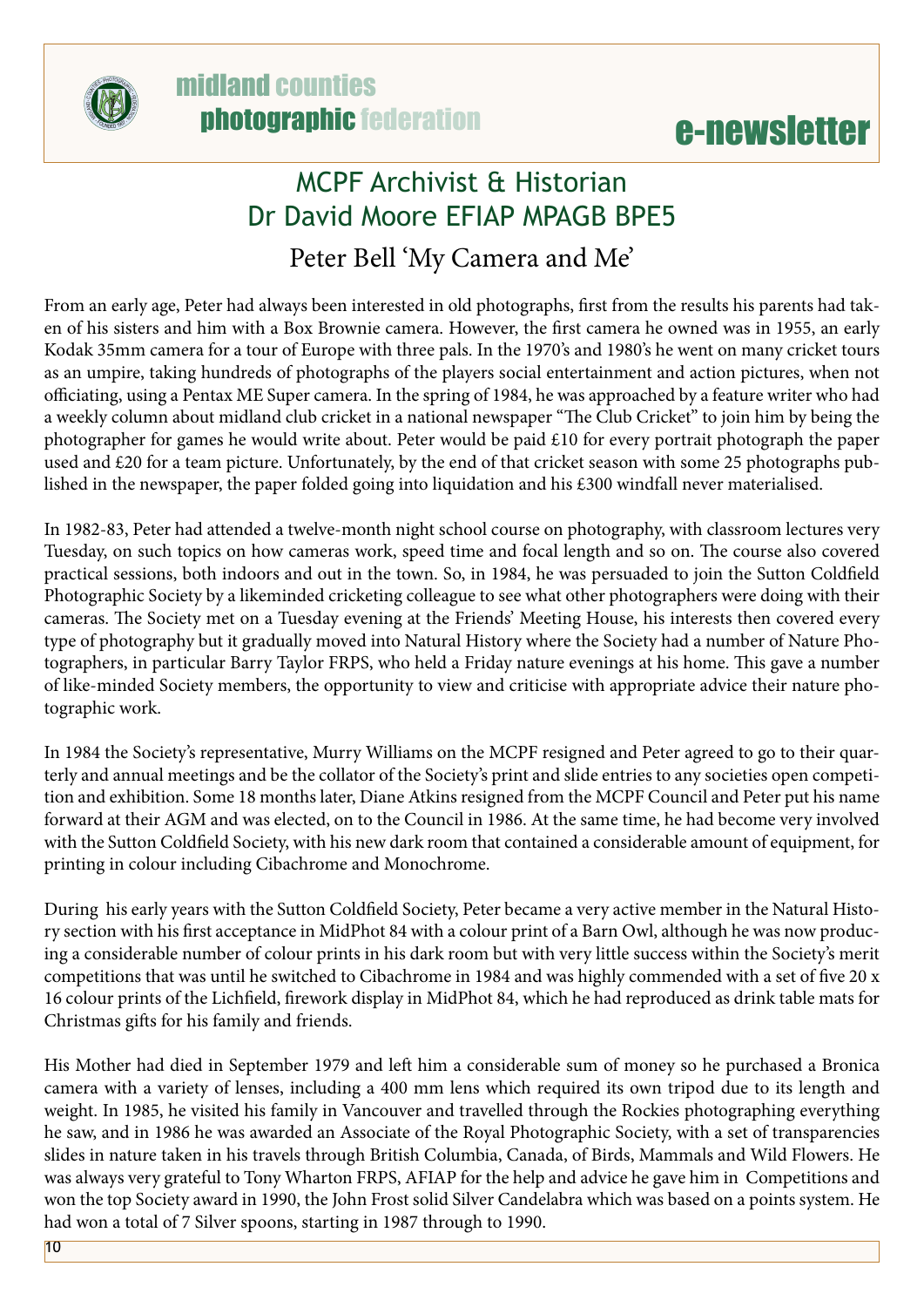

#### e-newsletter

#### MCPF Archivist & Historian Dr David Moore EFIAP MPAGB BPE5

#### Peter Bell 'My Camera and Me'

From an early age, Peter had always been interested in old photographs, first from the results his parents had taken of his sisters and him with a Box Brownie camera. However, the first camera he owned was in 1955, an early Kodak 35mm camera for a tour of Europe with three pals. In the 1970's and 1980's he went on many cricket tours as an umpire, taking hundreds of photographs of the players social entertainment and action pictures, when not officiating, using a Pentax ME Super camera. In the spring of 1984, he was approached by a feature writer who had a weekly column about midland club cricket in a national newspaper "The Club Cricket" to join him by being the photographer for games he would write about. Peter would be paid £10 for every portrait photograph the paper used and £20 for a team picture. Unfortunately, by the end of that cricket season with some 25 photographs published in the newspaper, the paper folded going into liquidation and his £300 windfall never materialised.

In 1982-83, Peter had attended a twelve-month night school course on photography, with classroom lectures very Tuesday, on such topics on how cameras work, speed time and focal length and so on. The course also covered practical sessions, both indoors and out in the town. So, in 1984, he was persuaded to join the Sutton Coldfield Photographic Society by a likeminded cricketing colleague to see what other photographers were doing with their cameras. The Society met on a Tuesday evening at the Friends' Meeting House, his interests then covered every type of photography but it gradually moved into Natural History where the Society had a number of Nature Photographers, in particular Barry Taylor FRPS, who held a Friday nature evenings at his home. This gave a number of like-minded Society members, the opportunity to view and criticise with appropriate advice their nature photographic work.

In 1984 the Society's representative, Murry Williams on the MCPF resigned and Peter agreed to go to their quarterly and annual meetings and be the collator of the Society's print and slide entries to any societies open competition and exhibition. Some 18 months later, Diane Atkins resigned from the MCPF Council and Peter put his name forward at their AGM and was elected, on to the Council in 1986. At the same time, he had become very involved with the Sutton Coldfield Society, with his new dark room that contained a considerable amount of equipment, for printing in colour including Cibachrome and Monochrome.

During his early years with the Sutton Coldfield Society, Peter became a very active member in the Natural History section with his first acceptance in MidPhot 84 with a colour print of a Barn Owl, although he was now producing a considerable number of colour prints in his dark room but with very little success within the Society's merit competitions that was until he switched to Cibachrome in 1984 and was highly commended with a set of five 20 x 16 colour prints of the Lichfield, firework display in MidPhot 84, which he had reproduced as drink table mats for Christmas gifts for his family and friends.

His Mother had died in September 1979 and left him a considerable sum of money so he purchased a Bronica camera with a variety of lenses, including a 400 mm lens which required its own tripod due to its length and weight. In 1985, he visited his family in Vancouver and travelled through the Rockies photographing everything he saw, and in 1986 he was awarded an Associate of the Royal Photographic Society, with a set of transparencies slides in nature taken in his travels through British Columbia, Canada, of Birds, Mammals and Wild Flowers. He was always very grateful to Tony Wharton FRPS, AFIAP for the help and advice he gave him in Competitions and won the top Society award in 1990, the John Frost solid Silver Candelabra which was based on a points system. He had won a total of 7 Silver spoons, starting in 1987 through to 1990.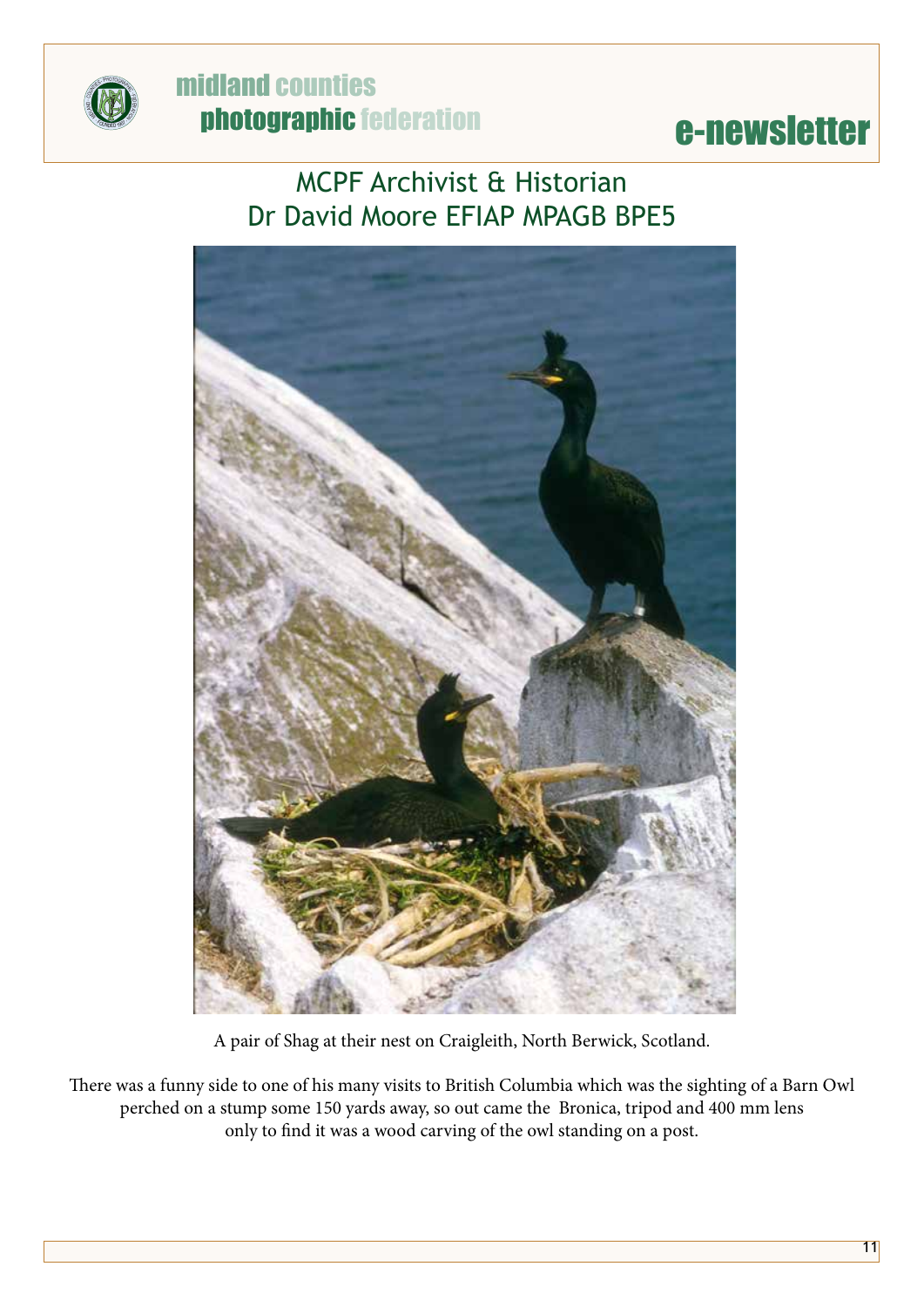

#### **example in the Universe Counties**<br>
E-newsletter midland counties photographic federation

#### MCPF Archivist & Historian Dr David Moore EFIAP MPAGB BPE5



A pair of Shag at their nest on Craigleith, North Berwick, Scotland.

There was a funny side to one of his many visits to British Columbia which was the sighting of a Barn Owl perched on a stump some 150 yards away, so out came the Bronica, tripod and 400 mm lens only to find it was a wood carving of the owl standing on a post.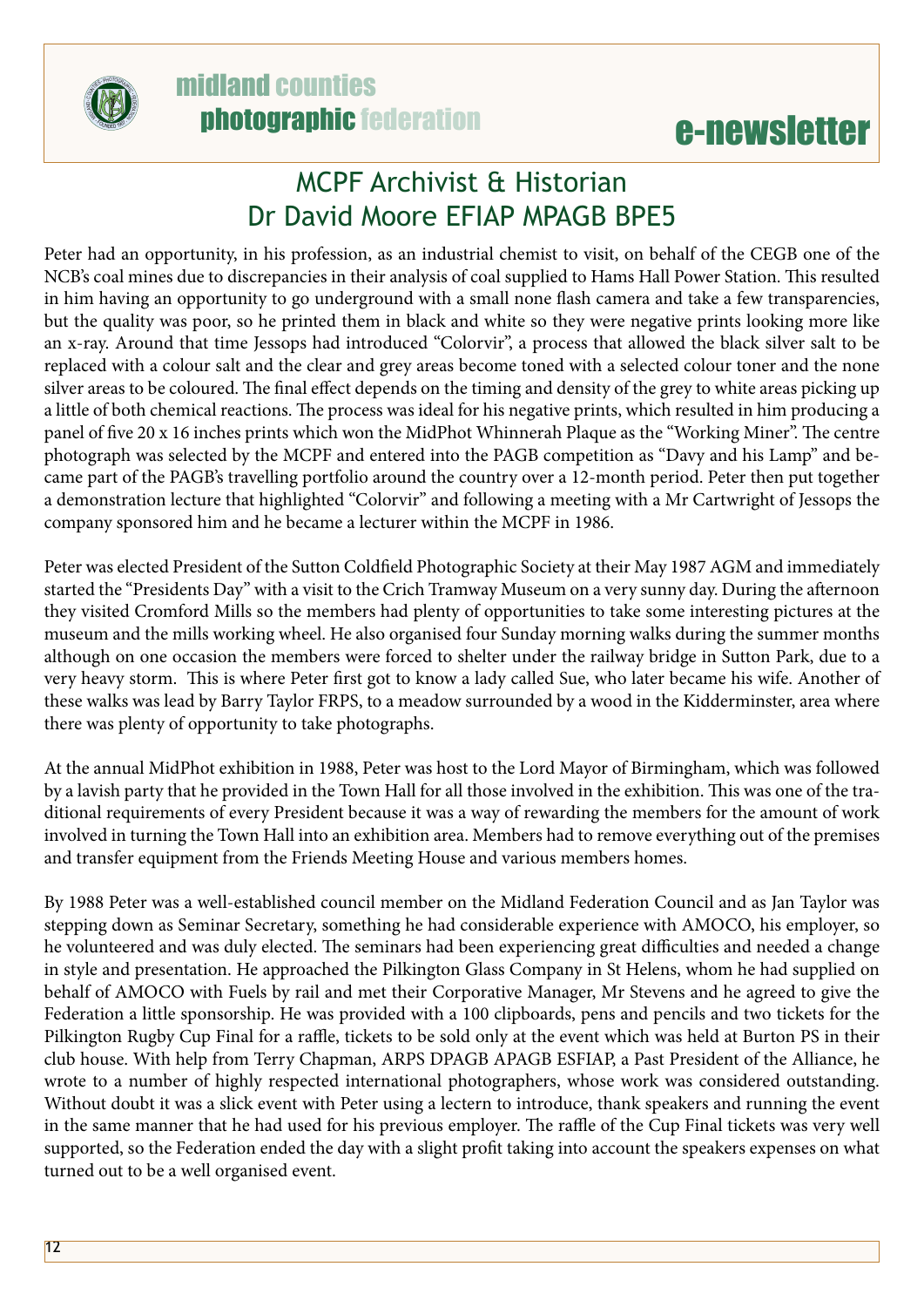

#### midland counties photographic federation

#### e-newsletter

#### MCPF Archivist & Historian Dr David Moore EFIAP MPAGB BPE5

Peter had an opportunity, in his profession, as an industrial chemist to visit, on behalf of the CEGB one of the NCB's coal mines due to discrepancies in their analysis of coal supplied to Hams Hall Power Station. This resulted in him having an opportunity to go underground with a small none flash camera and take a few transparencies, but the quality was poor, so he printed them in black and white so they were negative prints looking more like an x-ray. Around that time Jessops had introduced "Colorvir", a process that allowed the black silver salt to be replaced with a colour salt and the clear and grey areas become toned with a selected colour toner and the none silver areas to be coloured. The final effect depends on the timing and density of the grey to white areas picking up a little of both chemical reactions. The process was ideal for his negative prints, which resulted in him producing a panel of five 20 x 16 inches prints which won the MidPhot Whinnerah Plaque as the "Working Miner". The centre photograph was selected by the MCPF and entered into the PAGB competition as "Davy and his Lamp" and became part of the PAGB's travelling portfolio around the country over a 12-month period. Peter then put together a demonstration lecture that highlighted "Colorvir" and following a meeting with a Mr Cartwright of Jessops the company sponsored him and he became a lecturer within the MCPF in 1986.

Peter was elected President of the Sutton Coldfield Photographic Society at their May 1987 AGM and immediately started the "Presidents Day" with a visit to the Crich Tramway Museum on a very sunny day. During the afternoon they visited Cromford Mills so the members had plenty of opportunities to take some interesting pictures at the museum and the mills working wheel. He also organised four Sunday morning walks during the summer months although on one occasion the members were forced to shelter under the railway bridge in Sutton Park, due to a very heavy storm. This is where Peter first got to know a lady called Sue, who later became his wife. Another of these walks was lead by Barry Taylor FRPS, to a meadow surrounded by a wood in the Kidderminster, area where there was plenty of opportunity to take photographs.

At the annual MidPhot exhibition in 1988, Peter was host to the Lord Mayor of Birmingham, which was followed by a lavish party that he provided in the Town Hall for all those involved in the exhibition. This was one of the traditional requirements of every President because it was a way of rewarding the members for the amount of work involved in turning the Town Hall into an exhibition area. Members had to remove everything out of the premises and transfer equipment from the Friends Meeting House and various members homes.

By 1988 Peter was a well-established council member on the Midland Federation Council and as Jan Taylor was stepping down as Seminar Secretary, something he had considerable experience with AMOCO, his employer, so he volunteered and was duly elected. The seminars had been experiencing great difficulties and needed a change in style and presentation. He approached the Pilkington Glass Company in St Helens, whom he had supplied on behalf of AMOCO with Fuels by rail and met their Corporative Manager, Mr Stevens and he agreed to give the Federation a little sponsorship. He was provided with a 100 clipboards, pens and pencils and two tickets for the Pilkington Rugby Cup Final for a raffle, tickets to be sold only at the event which was held at Burton PS in their club house. With help from Terry Chapman, ARPS DPAGB APAGB ESFIAP, a Past President of the Alliance, he wrote to a number of highly respected international photographers, whose work was considered outstanding. Without doubt it was a slick event with Peter using a lectern to introduce, thank speakers and running the event in the same manner that he had used for his previous employer. The raffle of the Cup Final tickets was very well supported, so the Federation ended the day with a slight profit taking into account the speakers expenses on what turned out to be a well organised event.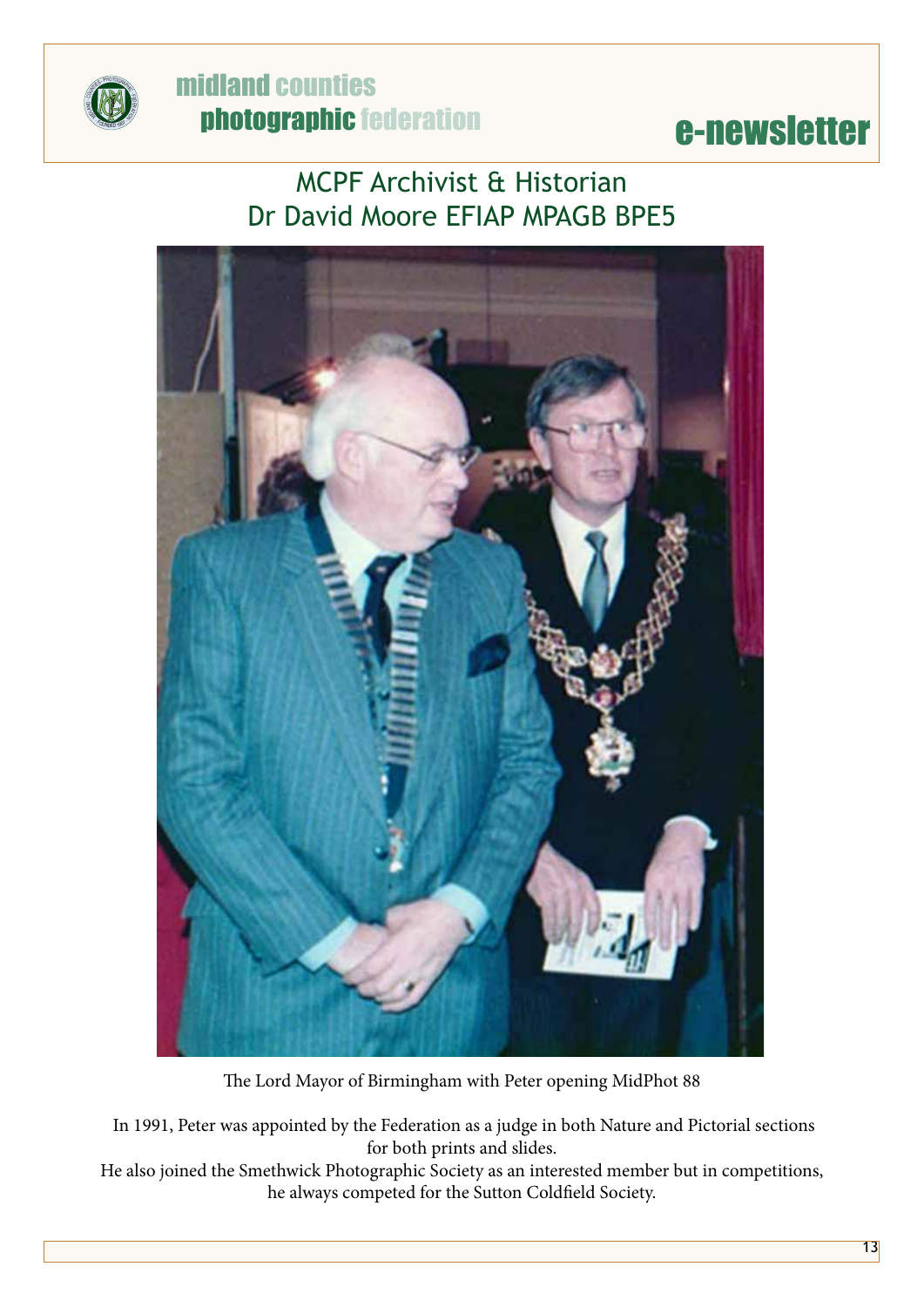

#### **example in the Universe Counties**<br>
E-newsletter midland counties photographic federation

#### MCPF Archivist & Historian Dr David Moore EFIAP MPAGB BPE5



The Lord Mayor of Birmingham with Peter opening MidPhot 88

 In 1991, Peter was appointed by the Federation as a judge in both Nature and Pictorial sections for both prints and slides.

He also joined the Smethwick Photographic Society as an interested member but in competitions, he always competed for the Sutton Coldfield Society.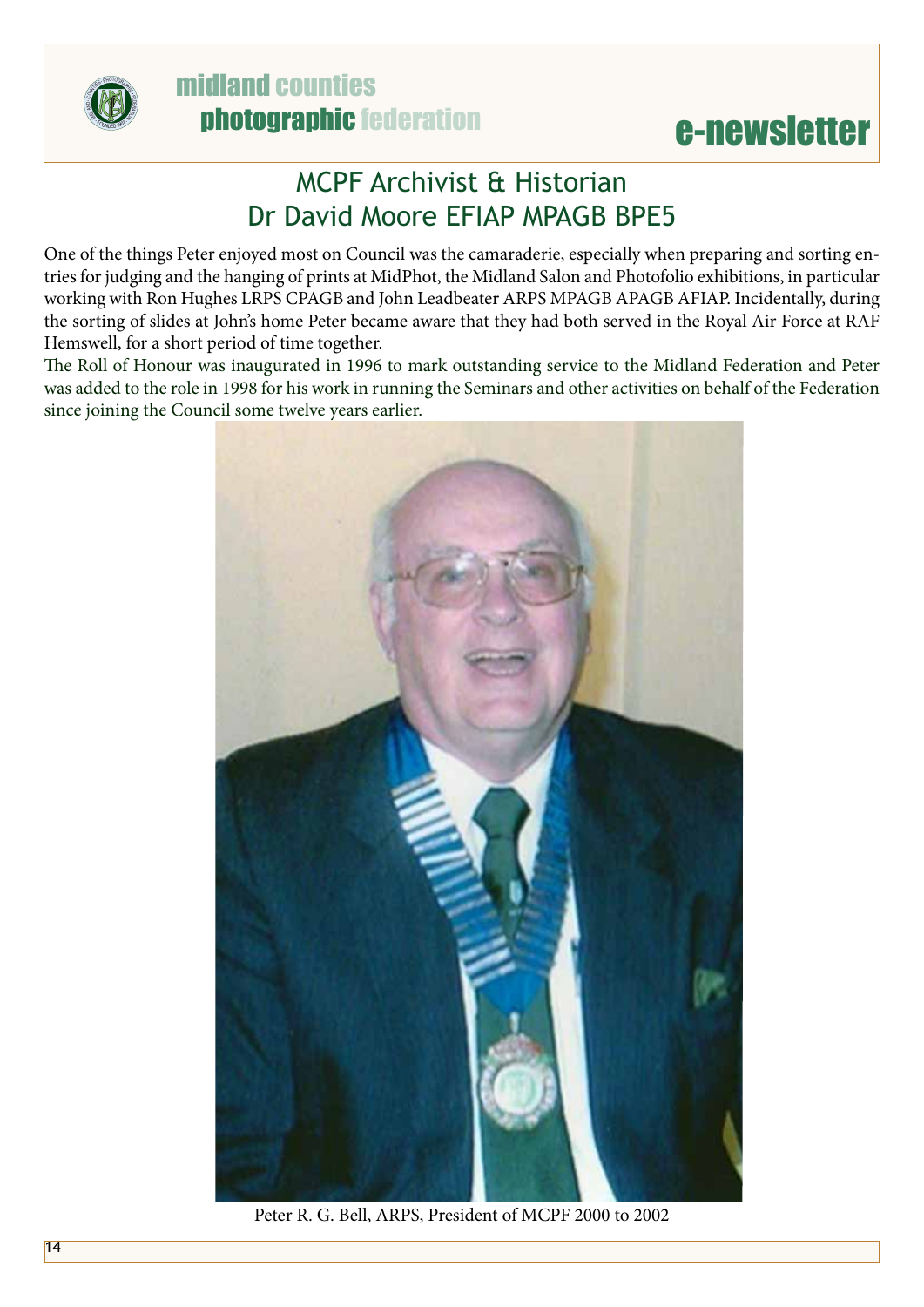

#### midland counties photographic federation

#### e-newsletter

#### MCPF Archivist & Historian Dr David Moore EFIAP MPAGB BPE5

One of the things Peter enjoyed most on Council was the camaraderie, especially when preparing and sorting entries for judging and the hanging of prints at MidPhot, the Midland Salon and Photofolio exhibitions, in particular working with Ron Hughes LRPS CPAGB and John Leadbeater ARPS MPAGB APAGB AFIAP. Incidentally, during the sorting of slides at John's home Peter became aware that they had both served in the Royal Air Force at RAF Hemswell, for a short period of time together.

The Roll of Honour was inaugurated in 1996 to mark outstanding service to the Midland Federation and Peter was added to the role in 1998 for his work in running the Seminars and other activities on behalf of the Federation since joining the Council some twelve years earlier.



Peter R. G. Bell, ARPS, President of MCPF 2000 to 2002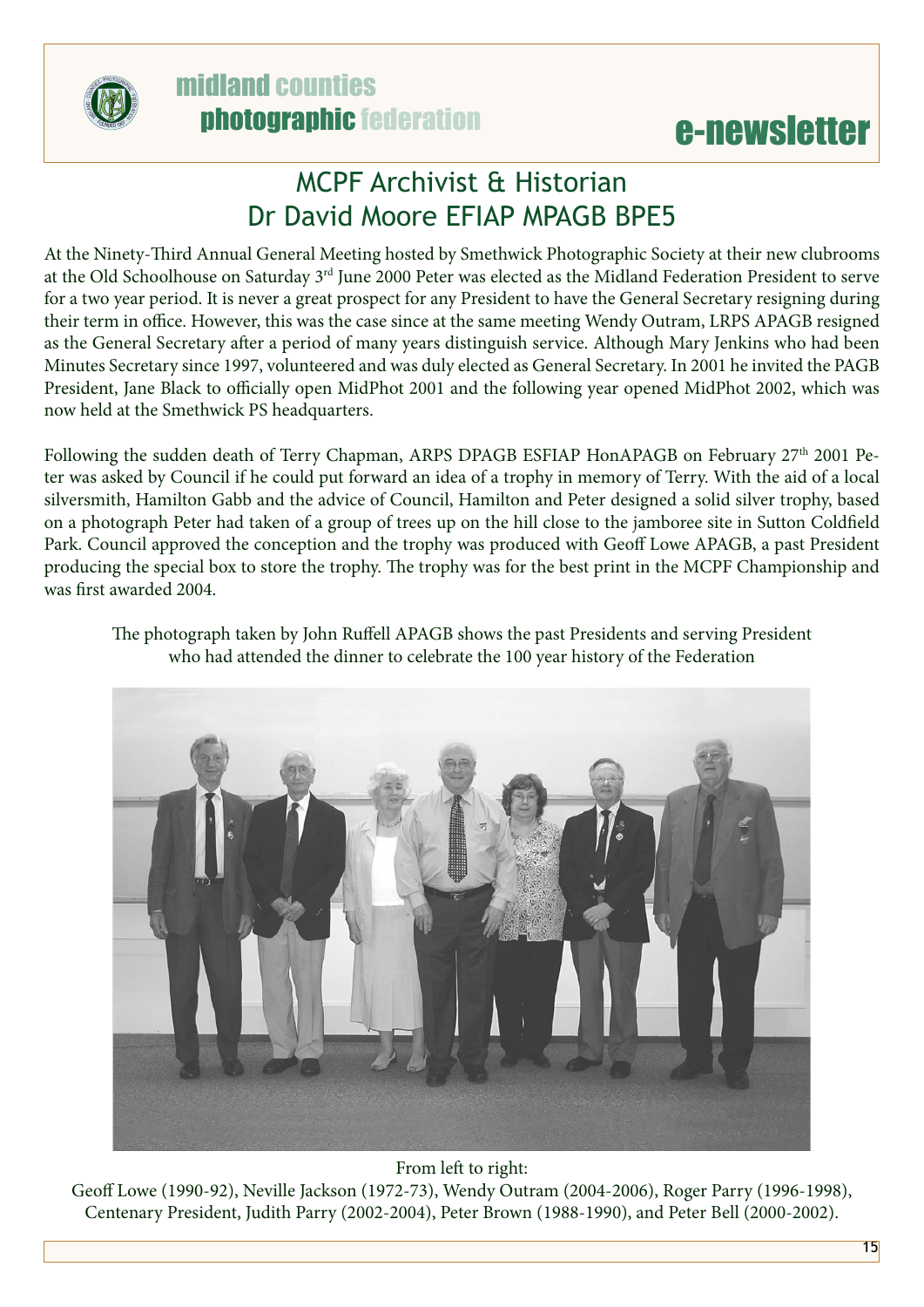



#### MCPF Archivist & Historian Dr David Moore EFIAP MPAGB BPE5

At the Ninety-Third Annual General Meeting hosted by Smethwick Photographic Society at their new clubrooms at the Old Schoolhouse on Saturday 3<sup>rd</sup> June 2000 Peter was elected as the Midland Federation President to serve for a two year period. It is never a great prospect for any President to have the General Secretary resigning during their term in office. However, this was the case since at the same meeting Wendy Outram, LRPS APAGB resigned as the General Secretary after a period of many years distinguish service. Although Mary Jenkins who had been Minutes Secretary since 1997, volunteered and was duly elected as General Secretary. In 2001 he invited the PAGB President, Jane Black to officially open MidPhot 2001 and the following year opened MidPhot 2002, which was now held at the Smethwick PS headquarters.

Following the sudden death of Terry Chapman, ARPS DPAGB ESFIAP HonAPAGB on February 27<sup>th</sup> 2001 Peter was asked by Council if he could put forward an idea of a trophy in memory of Terry. With the aid of a local silversmith, Hamilton Gabb and the advice of Council, Hamilton and Peter designed a solid silver trophy, based on a photograph Peter had taken of a group of trees up on the hill close to the jamboree site in Sutton Coldfield Park. Council approved the conception and the trophy was produced with Geoff Lowe APAGB, a past President producing the special box to store the trophy. The trophy was for the best print in the MCPF Championship and was first awarded 2004.



The photograph taken by John Ruffell APAGB shows the past Presidents and serving President who had attended the dinner to celebrate the 100 year history of the Federation

#### From left to right:

Geoff Lowe (1990-92), Neville Jackson (1972-73), Wendy Outram (2004-2006), Roger Parry (1996-1998), Centenary President, Judith Parry (2002-2004), Peter Brown (1988-1990), and Peter Bell (2000-2002).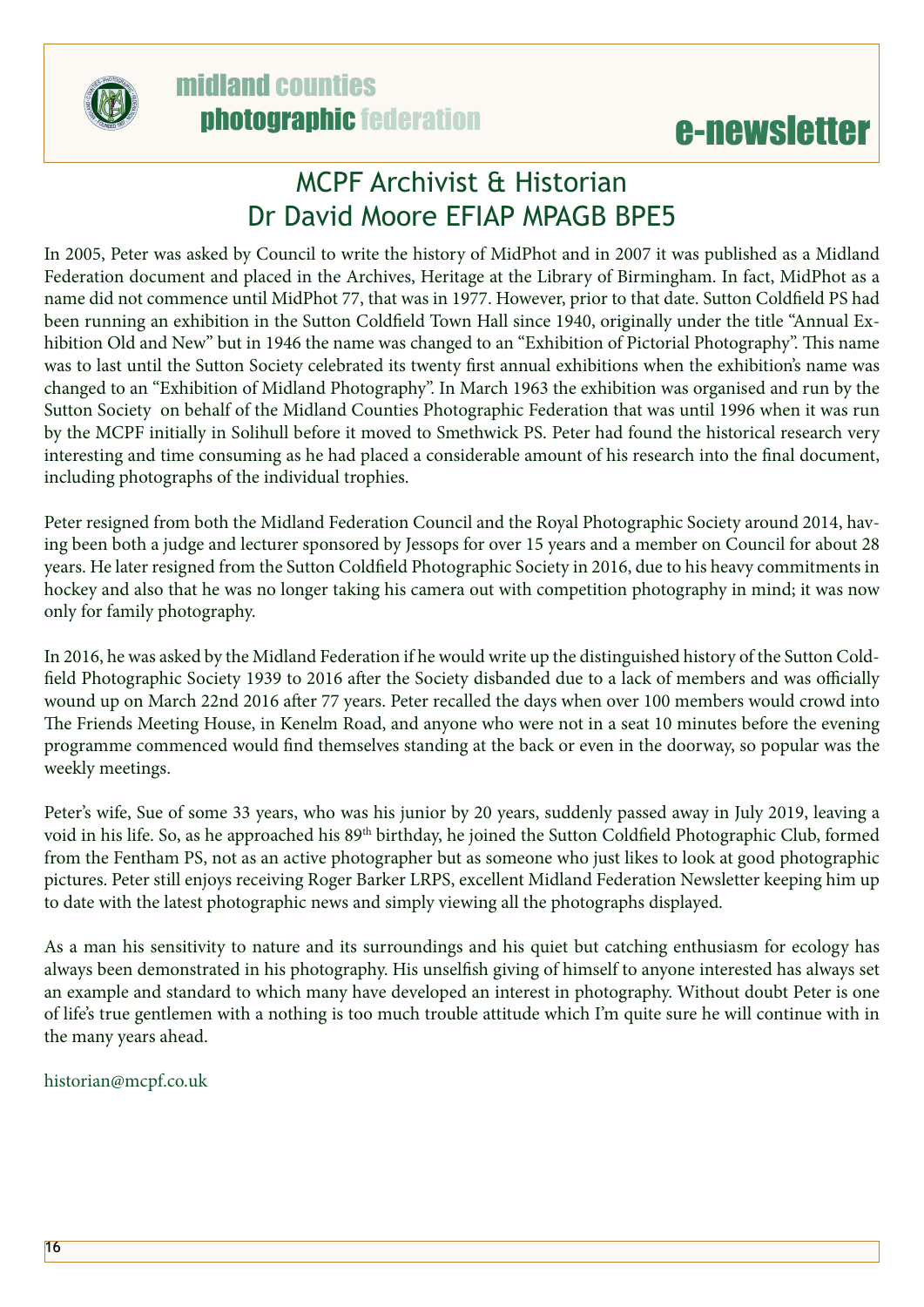

#### MCPF Archivist & Historian Dr David Moore EFIAP MPAGB BPE5

In 2005, Peter was asked by Council to write the history of MidPhot and in 2007 it was published as a Midland Federation document and placed in the Archives, Heritage at the Library of Birmingham. In fact, MidPhot as a name did not commence until MidPhot 77, that was in 1977. However, prior to that date. Sutton Coldfield PS had been running an exhibition in the Sutton Coldfield Town Hall since 1940, originally under the title "Annual Exhibition Old and New" but in 1946 the name was changed to an "Exhibition of Pictorial Photography". This name was to last until the Sutton Society celebrated its twenty first annual exhibitions when the exhibition's name was changed to an "Exhibition of Midland Photography". In March 1963 the exhibition was organised and run by the Sutton Society on behalf of the Midland Counties Photographic Federation that was until 1996 when it was run by the MCPF initially in Solihull before it moved to Smethwick PS. Peter had found the historical research very interesting and time consuming as he had placed a considerable amount of his research into the final document, including photographs of the individual trophies.

Peter resigned from both the Midland Federation Council and the Royal Photographic Society around 2014, having been both a judge and lecturer sponsored by Jessops for over 15 years and a member on Council for about 28 years. He later resigned from the Sutton Coldfield Photographic Society in 2016, due to his heavy commitments in hockey and also that he was no longer taking his camera out with competition photography in mind; it was now only for family photography.

In 2016, he was asked by the Midland Federation if he would write up the distinguished history of the Sutton Coldfield Photographic Society 1939 to 2016 after the Society disbanded due to a lack of members and was officially wound up on March 22nd 2016 after 77 years. Peter recalled the days when over 100 members would crowd into The Friends Meeting House, in Kenelm Road, and anyone who were not in a seat 10 minutes before the evening programme commenced would find themselves standing at the back or even in the doorway, so popular was the weekly meetings.

Peter's wife, Sue of some 33 years, who was his junior by 20 years, suddenly passed away in July 2019, leaving a void in his life. So, as he approached his 89<sup>th</sup> birthday, he joined the Sutton Coldfield Photographic Club, formed from the Fentham PS, not as an active photographer but as someone who just likes to look at good photographic pictures. Peter still enjoys receiving Roger Barker LRPS, excellent Midland Federation Newsletter keeping him up to date with the latest photographic news and simply viewing all the photographs displayed.

As a man his sensitivity to nature and its surroundings and his quiet but catching enthusiasm for ecology has always been demonstrated in his photography. His unselfish giving of himself to anyone interested has always set an example and standard to which many have developed an interest in photography. Without doubt Peter is one of life's true gentlemen with a nothing is too much trouble attitude which I'm quite sure he will continue with in the many years ahead.

[historian@mcpf.co.uk](mailto:historian%40mcpf.co.uk?subject=)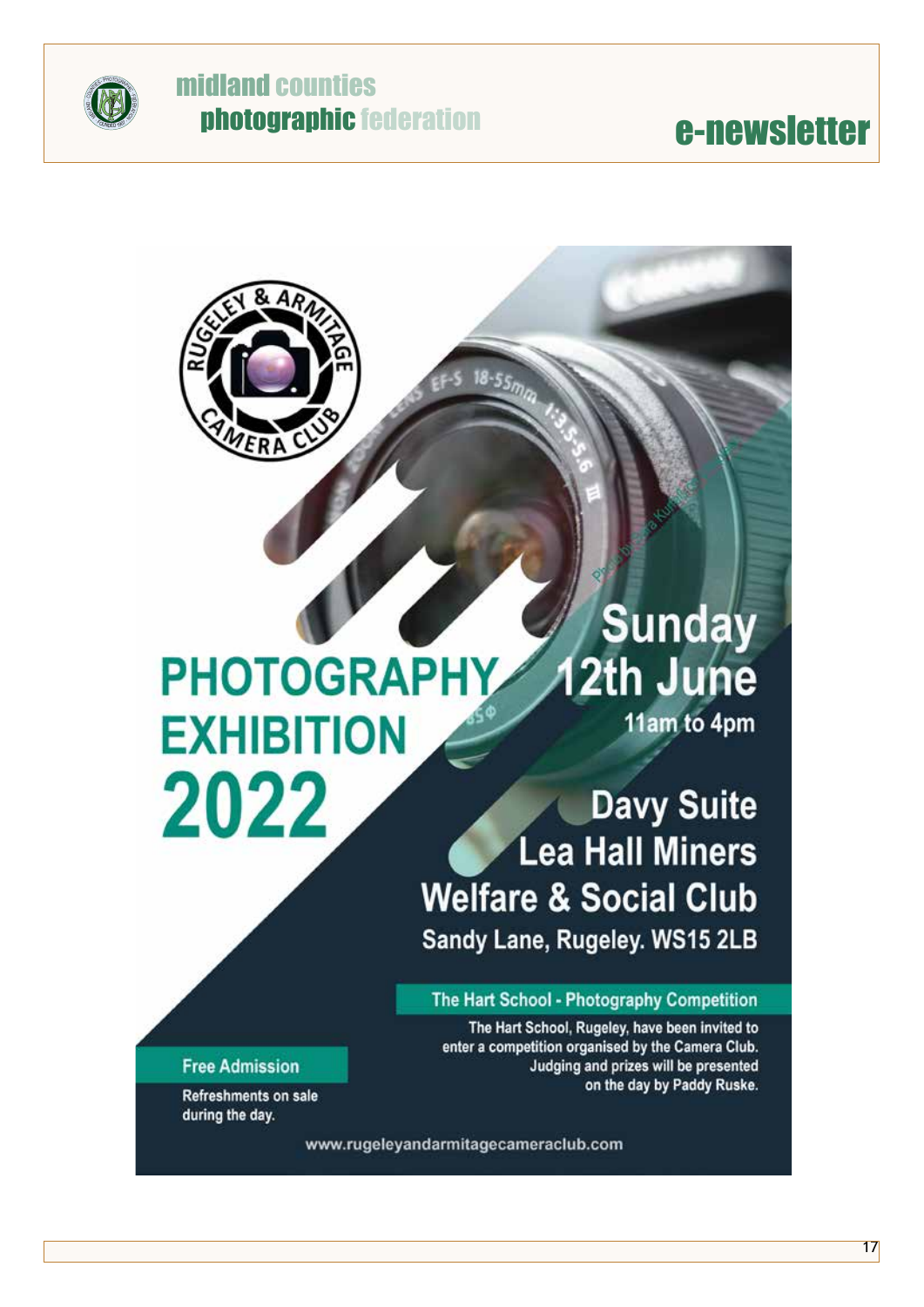

# **@** midland counties<br>
photographic federation<br> **e-newsletter**

#### **Sunday** 12th June **PHOTOGRAPHY** 11am to 4pm **EXHIBITION** 2022

#### **Davy Suite Lea Hall Miners Welfare & Social Club** Sandy Lane, Rugeley. WS15 2LB

#### The Hart School - Photography Competition

The Hart School, Rugeley, have been invited to enter a competition organised by the Camera Club. Judging and prizes will be presented on the day by Paddy Ruske.

**Free Admission** 

Refreshments on sale during the day.

www.rugeleyandarmitagecameraclub.com